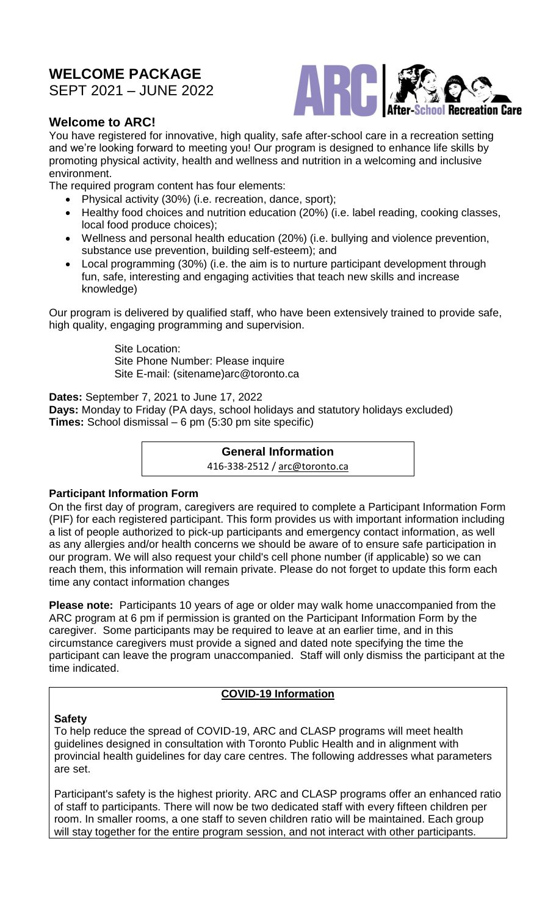# **WELCOME PACKAGE**

SEPT 2021 – JUNE 2022



# **Welcome to ARC!**

You have registered for innovative, high quality, safe after-school care in a recreation setting and we're looking forward to meeting you! Our program is designed to enhance life skills by promoting physical activity, health and wellness and nutrition in a welcoming and inclusive environment.

The required program content has four elements:

- Physical activity (30%) (i.e. recreation, dance, sport);
- Healthy food choices and nutrition education (20%) (i.e. label reading, cooking classes, local food produce choices);
- Wellness and personal health education (20%) (i.e. bullying and violence prevention, substance use prevention, building self-esteem); and
- Local programming (30%) (i.e. the aim is to nurture participant development through fun, safe, interesting and engaging activities that teach new skills and increase knowledge)

Our program is delivered by qualified staff, who have been extensively trained to provide safe, high quality, engaging programming and supervision.

> Site Location: Site Phone Number: Please inquire Site E-mail: (sitename)arc@toronto.ca

**Dates:** September 7, 2021 to June 17, 2022

**Days:** Monday to Friday (PA days, school holidays and statutory holidays excluded) **Times:** School dismissal – 6 pm (5:30 pm site specific)

## **General Information**

416-338-2512 / arc@toronto.ca

#### **Participant Information Form**

On the first day of program, caregivers are required to complete a Participant Information Form (PIF) for each registered participant. This form provides us with important information including a list of people authorized to pick-up participants and emergency contact information, as well as any allergies and/or health concerns we should be aware of to ensure safe participation in our program. We will also request your child's cell phone number (if applicable) so we can reach them, this information will remain private. Please do not forget to update this form each time any contact information changes

**Please note:** Participants 10 years of age or older may walk home unaccompanied from the ARC program at 6 pm if permission is granted on the Participant Information Form by the caregiver. Some participants may be required to leave at an earlier time, and in this circumstance caregivers must provide a signed and dated note specifying the time the participant can leave the program unaccompanied. Staff will only dismiss the participant at the time indicated.

# **COVID-19 Information**

# **Safety**

To help reduce the spread of COVID-19, ARC and CLASP programs will meet health guidelines designed in consultation with Toronto Public Health and in alignment with provincial health guidelines for day care centres. The following addresses what parameters are set.

Participant's safety is the highest priority. ARC and CLASP programs offer an enhanced ratio of staff to participants. There will now be two dedicated staff with every fifteen children per room. In smaller rooms, a one staff to seven children ratio will be maintained. Each group will stay together for the entire program session, and not interact with other participants.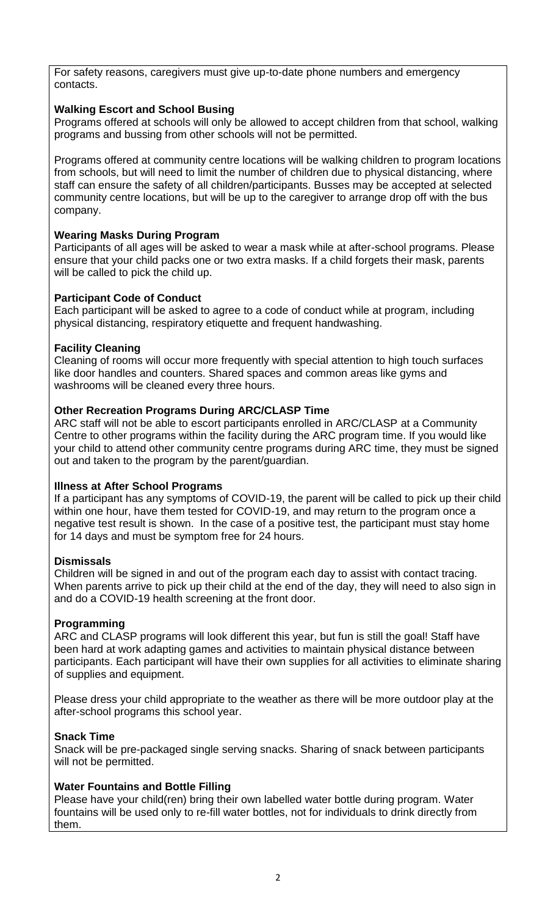For safety reasons, caregivers must give up-to-date phone numbers and emergency contacts.

## **Walking Escort and School Busing**

Programs offered at schools will only be allowed to accept children from that school, walking programs and bussing from other schools will not be permitted.

Programs offered at community centre locations will be walking children to program locations from schools, but will need to limit the number of children due to physical distancing, where staff can ensure the safety of all children/participants. Busses may be accepted at selected community centre locations, but will be up to the caregiver to arrange drop off with the bus company.

# **Wearing Masks During Program**

Participants of all ages will be asked to wear a mask while at after-school programs. Please ensure that your child packs one or two extra masks. If a child forgets their mask, parents will be called to pick the child up.

# **Participant Code of Conduct**

Each participant will be asked to agree to a code of conduct while at program, including physical distancing, respiratory etiquette and frequent handwashing.

# **Facility Cleaning**

Cleaning of rooms will occur more frequently with special attention to high touch surfaces like door handles and counters. Shared spaces and common areas like gyms and washrooms will be cleaned every three hours.

# **Other Recreation Programs During ARC/CLASP Time**

ARC staff will not be able to escort participants enrolled in ARC/CLASP at a Community Centre to other programs within the facility during the ARC program time. If you would like your child to attend other community centre programs during ARC time, they must be signed out and taken to the program by the parent/guardian.

#### **Illness at After School Programs**

If a participant has any symptoms of COVID-19, the parent will be called to pick up their child within one hour, have them tested for COVID-19, and may return to the program once a negative test result is shown. In the case of a positive test, the participant must stay home for 14 days and must be symptom free for 24 hours.

# **Dismissals**

Children will be signed in and out of the program each day to assist with contact tracing. When parents arrive to pick up their child at the end of the day, they will need to also sign in and do a COVID-19 health screening at the front door.

# **Programming**

ARC and CLASP programs will look different this year, but fun is still the goal! Staff have been hard at work adapting games and activities to maintain physical distance between participants. Each participant will have their own supplies for all activities to eliminate sharing of supplies and equipment.

Please dress your child appropriate to the weather as there will be more outdoor play at the after-school programs this school year.

#### **Snack Time**

Snack will be pre-packaged single serving snacks. Sharing of snack between participants will not be permitted.

# **Water Fountains and Bottle Filling**

Please have your child(ren) bring their own labelled water bottle during program. Water fountains will be used only to re-fill water bottles, not for individuals to drink directly from them.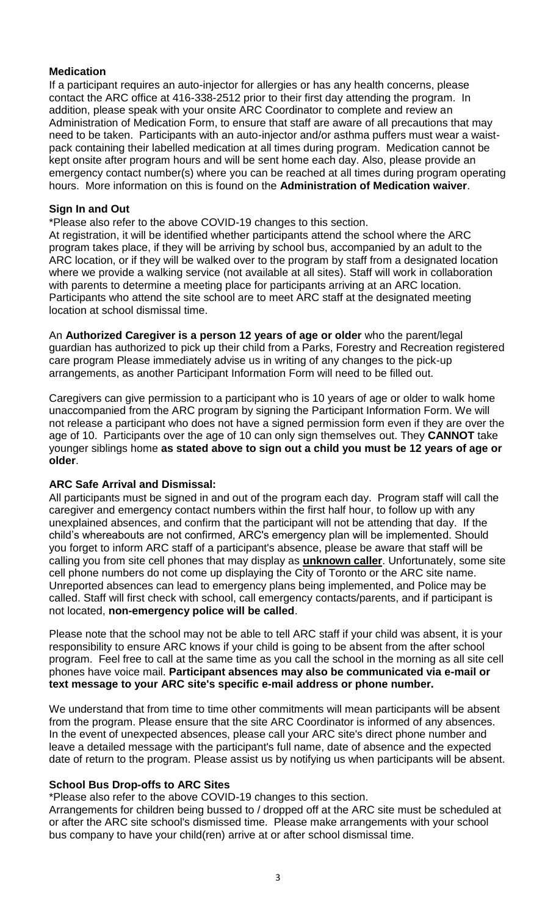#### **Medication**

If a participant requires an auto-injector for allergies or has any health concerns, please contact the ARC office at 416-338-2512 prior to their first day attending the program. In addition, please speak with your onsite ARC Coordinator to complete and review an Administration of Medication Form, to ensure that staff are aware of all precautions that may need to be taken. Participants with an auto-injector and/or asthma puffers must wear a waistpack containing their labelled medication at all times during program. Medication cannot be kept onsite after program hours and will be sent home each day. Also, please provide an emergency contact number(s) where you can be reached at all times during program operating hours. More information on this is found on the **Administration of Medication waiver**.

#### **Sign In and Out**

\*Please also refer to the above COVID-19 changes to this section.

At registration, it will be identified whether participants attend the school where the ARC program takes place, if they will be arriving by school bus, accompanied by an adult to the ARC location, or if they will be walked over to the program by staff from a designated location where we provide a walking service (not available at all sites). Staff will work in collaboration with parents to determine a meeting place for participants arriving at an ARC location. Participants who attend the site school are to meet ARC staff at the designated meeting location at school dismissal time.

An **Authorized Caregiver is a person 12 years of age or older** who the parent/legal guardian has authorized to pick up their child from a Parks, Forestry and Recreation registered care program Please immediately advise us in writing of any changes to the pick-up arrangements, as another Participant Information Form will need to be filled out.

Caregivers can give permission to a participant who is 10 years of age or older to walk home unaccompanied from the ARC program by signing the Participant Information Form. We will not release a participant who does not have a signed permission form even if they are over the age of 10. Participants over the age of 10 can only sign themselves out. They **CANNOT** take younger siblings home **as stated above to sign out a child you must be 12 years of age or older**.

#### **ARC Safe Arrival and Dismissal:**

All participants must be signed in and out of the program each day. Program staff will call the caregiver and emergency contact numbers within the first half hour, to follow up with any unexplained absences, and confirm that the participant will not be attending that day. If the child's whereabouts are not confirmed, ARC's emergency plan will be implemented. Should you forget to inform ARC staff of a participant's absence, please be aware that staff will be calling you from site cell phones that may display as **unknown caller**. Unfortunately, some site cell phone numbers do not come up displaying the City of Toronto or the ARC site name. Unreported absences can lead to emergency plans being implemented, and Police may be called. Staff will first check with school, call emergency contacts/parents, and if participant is not located, **non-emergency police will be called**.

Please note that the school may not be able to tell ARC staff if your child was absent, it is your responsibility to ensure ARC knows if your child is going to be absent from the after school program. Feel free to call at the same time as you call the school in the morning as all site cell phones have voice mail. **Participant absences may also be communicated via e-mail or text message to your ARC site's specific e-mail address or phone number.**

We understand that from time to time other commitments will mean participants will be absent from the program. Please ensure that the site ARC Coordinator is informed of any absences. In the event of unexpected absences, please call your ARC site's direct phone number and leave a detailed message with the participant's full name, date of absence and the expected date of return to the program. Please assist us by notifying us when participants will be absent.

#### **School Bus Drop-offs to ARC Sites**

\*Please also refer to the above COVID-19 changes to this section.

Arrangements for children being bussed to / dropped off at the ARC site must be scheduled at or after the ARC site school's dismissed time. Please make arrangements with your school bus company to have your child(ren) arrive at or after school dismissal time.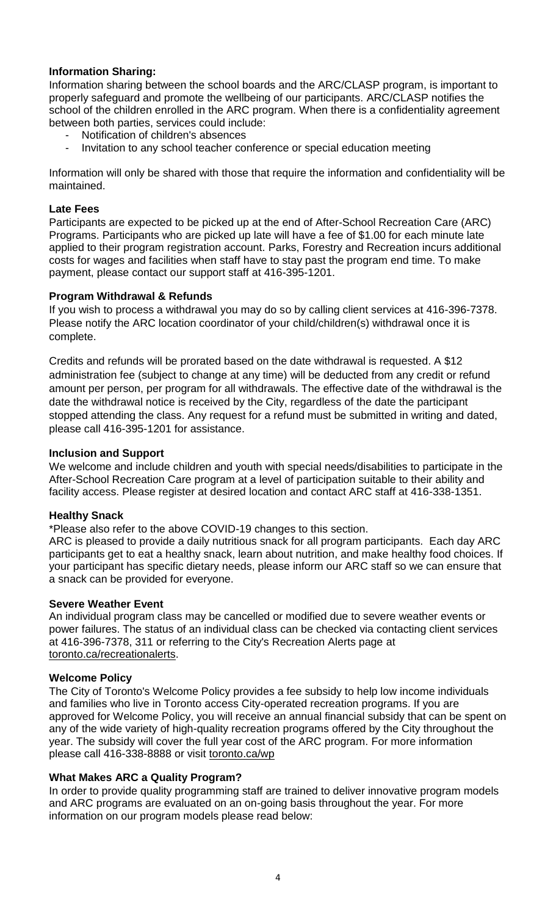#### **Information Sharing:**

Information sharing between the school boards and the ARC/CLASP program, is important to properly safeguard and promote the wellbeing of our participants. ARC/CLASP notifies the school of the children enrolled in the ARC program. When there is a confidentiality agreement between both parties, services could include:

- Notification of children's absences
- Invitation to any school teacher conference or special education meeting

Information will only be shared with those that require the information and confidentiality will be maintained.

## **Late Fees**

Participants are expected to be picked up at the end of After-School Recreation Care (ARC) Programs. Participants who are picked up late will have a fee of \$1.00 for each minute late applied to their program registration account. Parks, Forestry and Recreation incurs additional costs for wages and facilities when staff have to stay past the program end time. To make payment, please contact our support staff at 416-395-1201.

# **Program Withdrawal & Refunds**

If you wish to process a withdrawal you may do so by calling client services at 416-396-7378. Please notify the ARC location coordinator of your child/children(s) withdrawal once it is complete.

Credits and refunds will be prorated based on the date withdrawal is requested. A \$12 administration fee (subject to change at any time) will be deducted from any credit or refund amount per person, per program for all withdrawals. The effective date of the withdrawal is the date the withdrawal notice is received by the City, regardless of the date the participant stopped attending the class. Any request for a refund must be submitted in writing and dated, please call 416-395-1201 for assistance.

#### **Inclusion and Support**

We welcome and include children and youth with special needs/disabilities to participate in the After-School Recreation Care program at a level of participation suitable to their ability and facility access. Please register at desired location and contact ARC staff at 416-338-1351.

#### **Healthy Snack**

\*Please also refer to the above COVID-19 changes to this section.

ARC is pleased to provide a daily nutritious snack for all program participants. Each day ARC participants get to eat a healthy snack, learn about nutrition, and make healthy food choices. If your participant has specific dietary needs, please inform our ARC staff so we can ensure that a snack can be provided for everyone.

#### **Severe Weather Event**

An individual program class may be cancelled or modified due to severe weather events or power failures. The status of an individual class can be checked via contacting client services at 416-396-7378, 311 or referring to the City's Recreation Alerts page at toronto.ca/recreationalerts.

#### **Welcome Policy**

The City of Toronto's Welcome Policy provides a fee subsidy to help low income individuals and families who live in Toronto access City-operated recreation programs. If you are approved for Welcome Policy, you will receive an annual financial subsidy that can be spent on any of the wide variety of high-quality recreation programs offered by the City throughout the year. The subsidy will cover the full year cost of the ARC program. For more information please call 416-338-8888 or visit toronto.ca/wp

#### **What Makes ARC a Quality Program?**

In order to provide quality programming staff are trained to deliver innovative program models and ARC programs are evaluated on an on-going basis throughout the year. For more information on our program models please read below: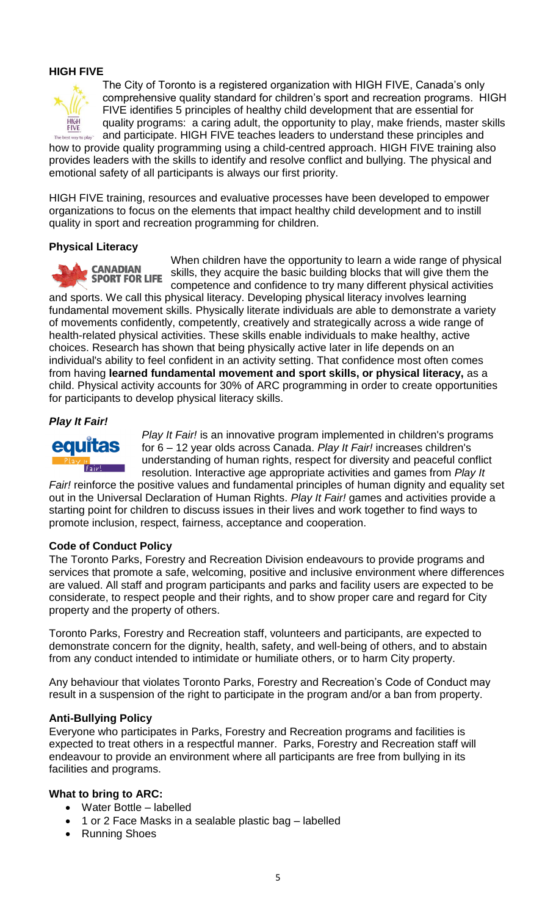#### **HIGH FIVE**



The City of Toronto is a registered organization with HIGH FIVE, Canada's only comprehensive quality standard for children's sport and recreation programs. HIGH FIVE identifies 5 principles of healthy child development that are essential for quality programs: a caring adult, the opportunity to play, make friends, master skills and participate. HIGH FIVE teaches leaders to understand these principles and

how to provide quality programming using a child-centred approach. HIGH FIVE training also provides leaders with the skills to identify and resolve conflict and bullying. The physical and emotional safety of all participants is always our first priority.

HIGH FIVE training, resources and evaluative processes have been developed to empower organizations to focus on the elements that impact healthy child development and to instill quality in sport and recreation programming for children.

#### **Physical Literacy**



**CANADIAN SPORT FOR LIFE** 

When children have the opportunity to learn a wide range of physical skills, they acquire the basic building blocks that will give them the competence and confidence to try many different physical activities

and sports. We call this physical literacy. Developing physical literacy involves learning fundamental movement skills. Physically literate individuals are able to demonstrate a variety of movements confidently, competently, creatively and strategically across a wide range of health-related physical activities. These skills enable individuals to make healthy, active choices. Research has shown that being physically active later in life depends on an individual's ability to feel confident in an activity setting. That confidence most often comes from having **learned fundamental movement and sport skills, or physical literacy,** as a child. Physical activity accounts for 30% of ARC programming in order to create opportunities for participants to develop physical literacy skills.

#### *Play It Fair!*



*Play It Fair!* is an innovative program implemented in children's programs for 6 – 12 year olds across Canada. *Play It Fair!* increases children's understanding of human rights, respect for diversity and peaceful conflict resolution. Interactive age appropriate activities and games from *Play It* 

*Fair!* reinforce the positive values and fundamental principles of human dignity and equality set out in the Universal Declaration of Human Rights. *Play It Fair!* games and activities provide a starting point for children to discuss issues in their lives and work together to find ways to promote inclusion, respect, fairness, acceptance and cooperation.

#### **Code of Conduct Policy**

The Toronto Parks, Forestry and Recreation Division endeavours to provide programs and services that promote a safe, welcoming, positive and inclusive environment where differences are valued. All staff and program participants and parks and facility users are expected to be considerate, to respect people and their rights, and to show proper care and regard for City property and the property of others.

Toronto Parks, Forestry and Recreation staff, volunteers and participants, are expected to demonstrate concern for the dignity, health, safety, and well-being of others, and to abstain from any conduct intended to intimidate or humiliate others, or to harm City property.

Any behaviour that violates Toronto Parks, Forestry and Recreation's Code of Conduct may result in a suspension of the right to participate in the program and/or a ban from property.

#### **Anti-Bullying Policy**

Everyone who participates in Parks, Forestry and Recreation programs and facilities is expected to treat others in a respectful manner. Parks, Forestry and Recreation staff will endeavour to provide an environment where all participants are free from bullying in its facilities and programs.

#### **What to bring to ARC:**

- Water Bottle labelled
- 1 or 2 Face Masks in a sealable plastic bag labelled
- Running Shoes